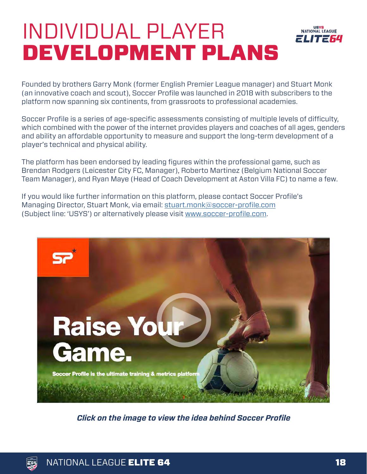## INDIVIDUAL PLAYER DEVELOPMENT PLANS



Founded by brothers Garry Monk (former English Premier League manager) and Stuart Monk (an innovative coach and scout), Soccer Profile was launched in 2018 with subscribers to the platform now spanning six continents, from grassroots to professional academies.

Soccer Profile is a series of age-specific assessments consisting of multiple levels of difficulty, which combined with the power of the internet provides players and coaches of all ages, genders and ability an affordable opportunity to measure and support the long-term development of a player's technical and physical ability.

The platform has been endorsed by leading figures within the professional game, such as Brendan Rodgers (Leicester City FC, Manager), Roberto Martinez (Belgium National Soccer Team Manager), and Ryan Maye (Head of Coach Development at Aston Villa FC) to name a few.

If you would like further information on this platform, please contact Soccer Profile's Managing Director, Stuart Monk, via email: [stuart.monk@soccer-profile.com](mailto:stuart.monk%40soccer-profile.com?subject=USYS)  (Subject line: 'USYS') or alternatively please visit [www.soccer-profile.com.](http://www.soccer-profile.com)



*Click on the image to view the idea behind Soccer Profile*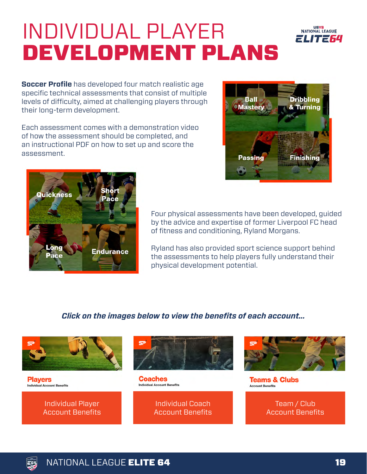## INDIVIDUAL PLAYER DEVELOPMENT PLANS

**Soccer Profile** has developed four match realistic age specific technical assessments that consist of multiple levels of difficulty, aimed at challenging players through their long-term development.

Each assessment comes with a demonstration video of how the assessment should be completed, and an instructional PDF on how to set up and score the assessment.



**USYS**<br>NATIONAL LEAGUE 201230



Four physical assessments have been developed, guided by the advice and expertise of former Liverpool FC head of fitness and conditioning, Ryland Morgans.

Ryland has also provided sport science support behind the assessments to help players fully understand their physical development potential.

## *Click on the images below to view the benefits of each account...*



**Players Individual Account Benefits** 





**Coaches Individual Account Benefits** 

> Individual Coach [Account Benefits](https://www.youtube.com/watch?v=-7XiaNm74pU&feature=youtu.be)



**Teams & Clubs Account Benefits** 

> Team / Club [Account Benefits](https://www.youtube.com/watch?v=DrLbeG6ZVRk&feature=youtu.be)